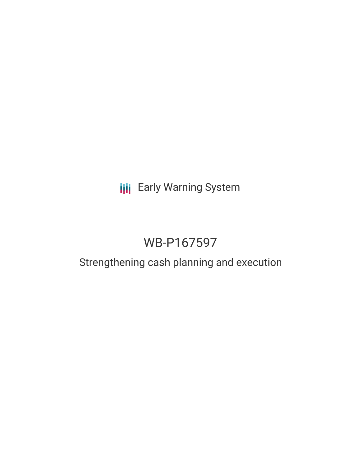## **III** Early Warning System

# WB-P167597

### Strengthening cash planning and execution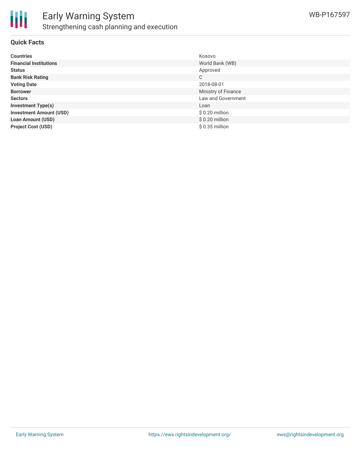

#### **Quick Facts**

| <b>Countries</b>               | Kosovo              |
|--------------------------------|---------------------|
| <b>Financial Institutions</b>  | World Bank (WB)     |
| <b>Status</b>                  | Approved            |
| <b>Bank Risk Rating</b>        | C                   |
| <b>Voting Date</b>             | 2018-08-01          |
| <b>Borrower</b>                | Ministry of Finance |
| <b>Sectors</b>                 | Law and Government  |
| <b>Investment Type(s)</b>      | Loan                |
| <b>Investment Amount (USD)</b> | $$0.20$ million     |
| <b>Loan Amount (USD)</b>       | $$0.20$ million     |
| <b>Project Cost (USD)</b>      | $$0.35$ million     |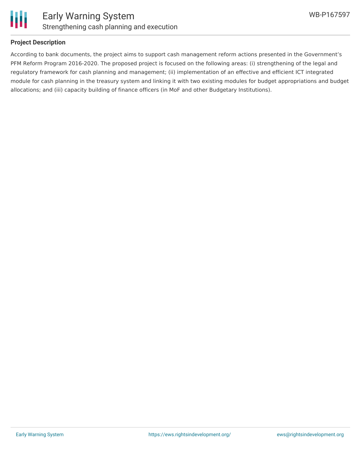

#### **Project Description**

According to bank documents, the project aims to support cash management reform actions presented in the Government's PFM Reform Program 2016-2020. The proposed project is focused on the following areas: (i) strengthening of the legal and regulatory framework for cash planning and management; (ii) implementation of an effective and efficient ICT integrated module for cash planning in the treasury system and linking it with two existing modules for budget appropriations and budget allocations; and (iii) capacity building of finance officers (in MoF and other Budgetary Institutions).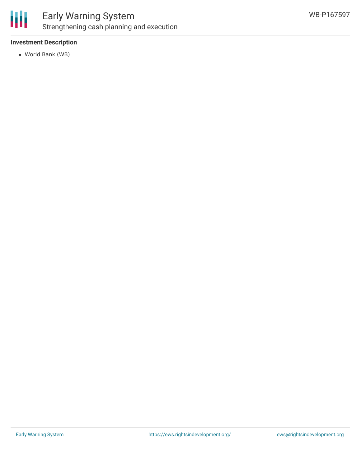

#### **Investment Description**

World Bank (WB)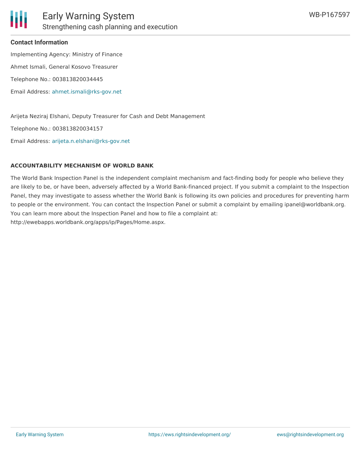

#### **Contact Information**

Implementing Agency: Ministry of Finance Ahmet Ismali, General Kosovo Treasurer Telephone No.: 003813820034445 Email Address: [ahmet.ismali@rks-gov.net](mailto:ahmet.ismali@rks-gov.net)

Arijeta Neziraj Elshani, Deputy Treasurer for Cash and Debt Management

Telephone No.: 003813820034157

Email Address: [arijeta.n.elshani@rks-gov.net](mailto:arijeta.n.elshani@rks-gov.net)

#### **ACCOUNTABILITY MECHANISM OF WORLD BANK**

The World Bank Inspection Panel is the independent complaint mechanism and fact-finding body for people who believe they are likely to be, or have been, adversely affected by a World Bank-financed project. If you submit a complaint to the Inspection Panel, they may investigate to assess whether the World Bank is following its own policies and procedures for preventing harm to people or the environment. You can contact the Inspection Panel or submit a complaint by emailing ipanel@worldbank.org. You can learn more about the Inspection Panel and how to file a complaint at: http://ewebapps.worldbank.org/apps/ip/Pages/Home.aspx.